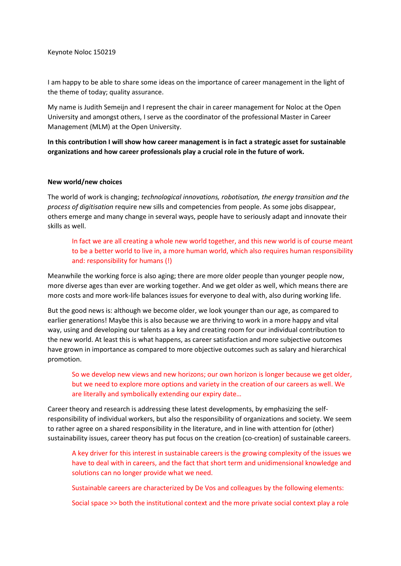I am happy to be able to share some ideas on the importance of career management in the light of the theme of today; quality assurance.

My name is Judith Semeijn and I represent the chair in career management for Noloc at the Open University and amongst others, I serve as the coordinator of the professional Master in Career Management (MLM) at the Open University.

**In this contribution I will show how career management is in fact a strategic asset for sustainable organizations and how career professionals play a crucial role in the future of work.**

### **New world/new choices**

The world of work is changing; *technological innovations, robotisation, the energy transition and the process of digitisation* require new sills and competencies from people. As some jobs disappear, others emerge and many change in several ways, people have to seriously adapt and innovate their skills as well.

In fact we are all creating a whole new world together, and this new world is of course meant to be a better world to live in, a more human world, which also requires human responsibility and: responsibility for humans (!)

Meanwhile the working force is also aging; there are more older people than younger people now, more diverse ages than ever are working together. And we get older as well, which means there are more costs and more work-life balances issues for everyone to deal with, also during working life.

But the good news is: although we become older, we look younger than our age, as compared to earlier generations! Maybe this is also because we are thriving to work in a more happy and vital way, using and developing our talents as a key and creating room for our individual contribution to the new world. At least this is what happens, as career satisfaction and more subjective outcomes have grown in importance as compared to more objective outcomes such as salary and hierarchical promotion.

So we develop new views and new horizons; our own horizon is longer because we get older, but we need to explore more options and variety in the creation of our careers as well. We are literally and symbolically extending our expiry date…

Career theory and research is addressing these latest developments, by emphasizing the selfresponsibility of individual workers, but also the responsibility of organizations and society. We seem to rather agree on a shared responsibility in the literature, and in line with attention for (other) sustainability issues, career theory has put focus on the creation (co-creation) of sustainable careers.

A key driver for this interest in sustainable careers is the growing complexity of the issues we have to deal with in careers, and the fact that short term and unidimensional knowledge and solutions can no longer provide what we need.

Sustainable careers are characterized by De Vos and colleagues by the following elements:

Social space >> both the institutional context and the more private social context play a role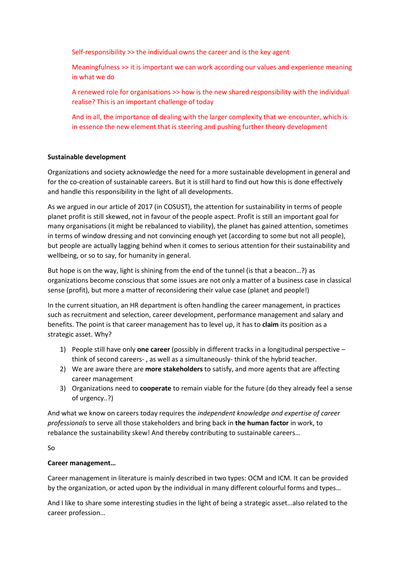Self-responsibility >> the individual owns the career and is the key agent

Meaningfulness >> it is important we can work according our values and experience meaning in what we do

A renewed role for organisations >> how is the new shared responsibility with the individual realise? This is an important challenge of today

And in all, the importance of dealing with the larger complexity that we encounter, which is in essence the new element that is steering and pushing further theory development

### **Sustainable development**

Organizations and society acknowledge the need for a more sustainable development in general and for the co-creation of sustainable careers. But it is still hard to find out how this is done effectively and handle this responsibility in the light of all developments.

As we argued in our article of 2017 (in COSUST), the attention for sustainability in terms of people planet profit is still skewed, not in favour of the people aspect. Profit is still an important goal for many organisations (it might be rebalanced to viability), the planet has gained attention, sometimes in terms of window dressing and not convincing enough yet (according to some but not all people), but people are actually lagging behind when it comes to serious attention for their sustainability and wellbeing, or so to say, for humanity in general.

But hope is on the way, light is shining from the end of the tunnel (is that a beacon…?) as organizations become conscious that some issues are not only a matter of a business case in classical sense (profit), but more a matter of reconsidering their value case (planet and people!)

In the current situation, an HR department is often handling the career management, in practices such as recruitment and selection, career development, performance management and salary and benefits. The point is that career management has to level up, it has to **claim** its position as a strategic asset. Why?

- 1) People still have only **one career** (possibly in different tracks in a longitudinal perspective think of second careers- , as well as a simultaneously- think of the hybrid teacher.
- 2) We are aware there are **more stakeholders** to satisfy, and more agents that are affecting career management
- 3) Organizations need to **cooperate** to remain viable for the future (do they already feel a sense of urgency..?)

And what we know on careers today requires the *independent knowledge and expertise of career professionals* to serve all those stakeholders and bring back in **the human factor** in work, to rebalance the sustainability skew! And thereby contributing to sustainable careers…

So

# **Career management…**

Career management in literature is mainly described in two types: OCM and ICM. It can be provided by the organization, or acted upon by the individual in many different colourful forms and types…

And I like to share some interesting studies in the light of being a strategic asset…also related to the career profession…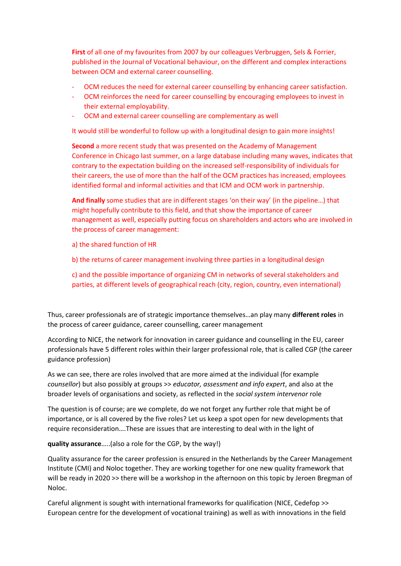**First** of all one of my favourites from 2007 by our colleagues Verbruggen, Sels & Forrier, published in the Journal of Vocational behaviour, on the different and complex interactions between OCM and external career counselling.

- OCM reduces the need for external career counselling by enhancing career satisfaction.
- OCM reinforces the need for career counselling by encouraging employees to invest in their external employability.
- OCM and external career counselling are complementary as well

It would still be wonderful to follow up with a longitudinal design to gain more insights!

**Second** a more recent study that was presented on the Academy of Management Conference in Chicago last summer, on a large database including many waves, indicates that contrary to the expectation building on the increased self-responsibility of individuals for their careers, the use of more than the half of the OCM practices has increased, employees identified formal and informal activities and that ICM and OCM work in partnership.

**And finally** some studies that are in different stages 'on their way' (in the pipeline…) that might hopefully contribute to this field, and that show the importance of career management as well, especially putting focus on shareholders and actors who are involved in the process of career management:

- a) the shared function of HR
- b) the returns of career management involving three parties in a longitudinal design

c) and the possible importance of organizing CM in networks of several stakeholders and parties, at different levels of geographical reach (city, region, country, even international)

Thus, career professionals are of strategic importance themselves…an play many **different roles** in the process of career guidance, career counselling, career management

According to NICE, the network for innovation in career guidance and counselling in the EU, career professionals have 5 different roles within their larger professional role, that is called CGP (the career guidance profession)

As we can see, there are roles involved that are more aimed at the individual (for example *counsellor*) but also possibly at groups >> *educator, assessment and info expert*, and also at the broader levels of organisations and society, as reflected in the *social system intervenor* role

The question is of course; are we complete, do we not forget any further role that might be of importance, or is all covered by the five roles? Let us keep a spot open for new developments that require reconsideration….These are issues that are interesting to deal with in the light of

**quality assurance**…..(also a role for the CGP, by the way!)

Quality assurance for the career profession is ensured in the Netherlands by the Career Management Institute (CMI) and Noloc together. They are working together for one new quality framework that will be ready in 2020 >> there will be a workshop in the afternoon on this topic by Jeroen Bregman of Noloc.

Careful alignment is sought with international frameworks for qualification (NICE, Cedefop >> European centre for the development of vocational training) as well as with innovations in the field